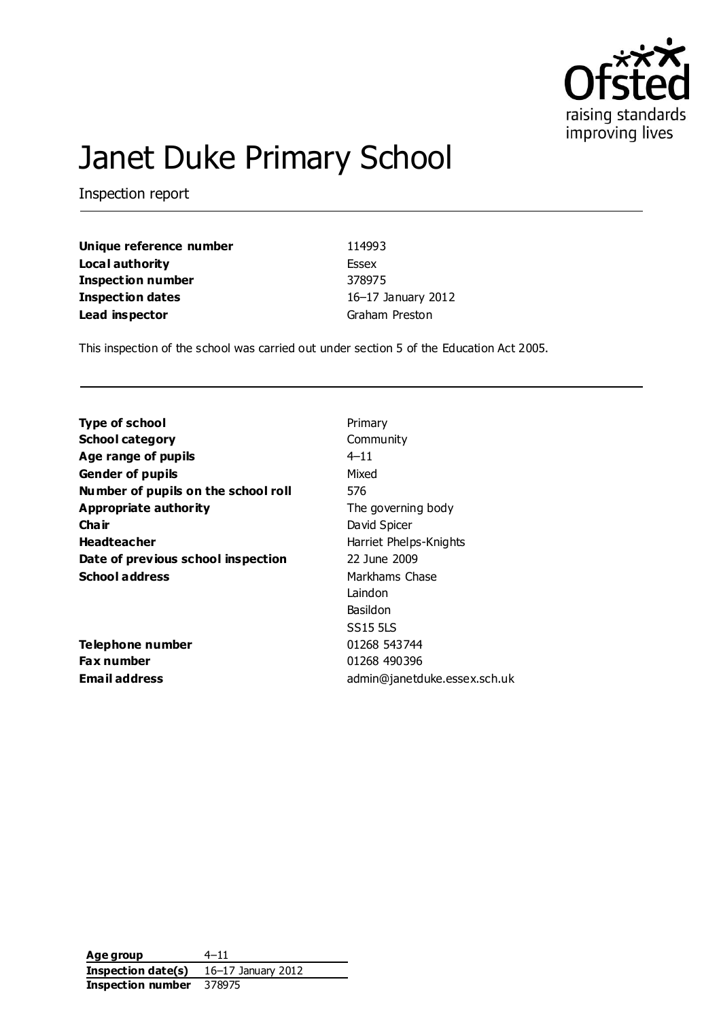

# Janet Duke Primary School

Inspection report

**Unique reference number** 114993 **Local authority** Essex **Inspection number** 378975 **Inspection dates** 16–17 January 2012 **Lead inspector** Graham Preston

This inspection of the school was carried out under section 5 of the Education Act 2005.

| <b>Type of school</b>               | Primary                      |
|-------------------------------------|------------------------------|
| <b>School category</b>              | Community                    |
| Age range of pupils                 | $4 - 11$                     |
| <b>Gender of pupils</b>             | Mixed                        |
| Number of pupils on the school roll | 576                          |
| Appropriate authority               | The governing body           |
| Cha ir                              | David Spicer                 |
| <b>Headteacher</b>                  | Harriet Phelps-Knights       |
| Date of previous school inspection  | 22 June 2009                 |
| <b>School address</b>               | Markhams Chase               |
|                                     | Laindon                      |
|                                     | Basildon                     |
|                                     | <b>SS15 5LS</b>              |
| Telephone number                    | 01268 543744                 |
| Fax number                          | 01268 490396                 |
| <b>Email address</b>                | admin@janetduke.essex.sch.uk |
|                                     |                              |

**Age group** 4–11 **Inspection date(s)** 16–17 January 2012 **Inspection number** 378975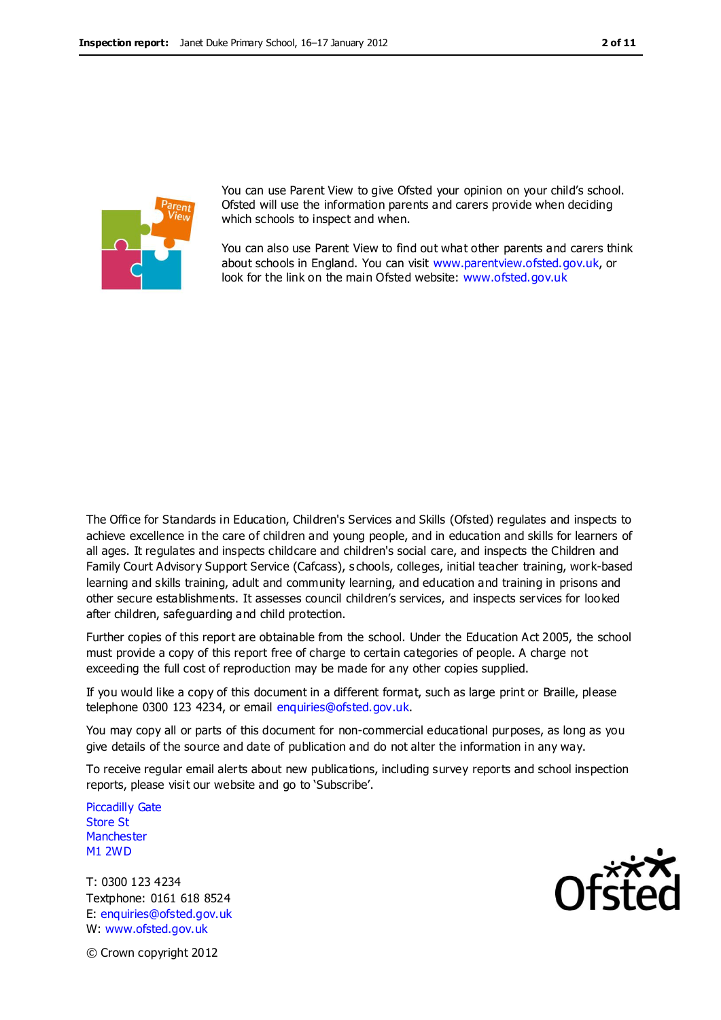

You can use Parent View to give Ofsted your opinion on your child's school. Ofsted will use the information parents and carers provide when deciding which schools to inspect and when.

You can also use Parent View to find out what other parents and carers think about schools in England. You can visit [www.parentview.ofsted.gov.uk,](http://www.parentview.ofsted.gov.uk/) or look for the link on the main Ofsted website: [www.ofsted.gov.uk](http://www.ofsted.gov.uk/)

The Office for Standards in Education, Children's Services and Skills (Ofsted) regulates and inspects to achieve excellence in the care of children and young people, and in education and skills for learners of all ages. It regulates and inspects childcare and children's social care, and inspects the Children and Family Court Advisory Support Service (Cafcass), s chools, colleges, initial teacher training, work-based learning and skills training, adult and community learning, and education and training in prisons and other secure establishments. It assesses council children's services, and inspects services for looked after children, safeguarding and child protection.

Further copies of this report are obtainable from the school. Under the Education Act 2005, the school must provide a copy of this report free of charge to certain categories of people. A charge not exceeding the full cost of reproduction may be made for any other copies supplied.

If you would like a copy of this document in a different format, such as large print or Braille, please telephone 0300 123 4234, or email enquiries@ofsted.gov.uk.

You may copy all or parts of this document for non-commercial educational purposes, as long as you give details of the source and date of publication and do not alter the information in any way.

To receive regular email alerts about new publications, including survey reports and school inspection reports, please visit our website and go to 'Subscribe'.

Piccadilly Gate Store St **Manchester** M1 2WD

T: 0300 123 4234 Textphone: 0161 618 8524 E: enquiries@ofsted.gov.uk W: www.ofsted.gov.uk



© Crown copyright 2012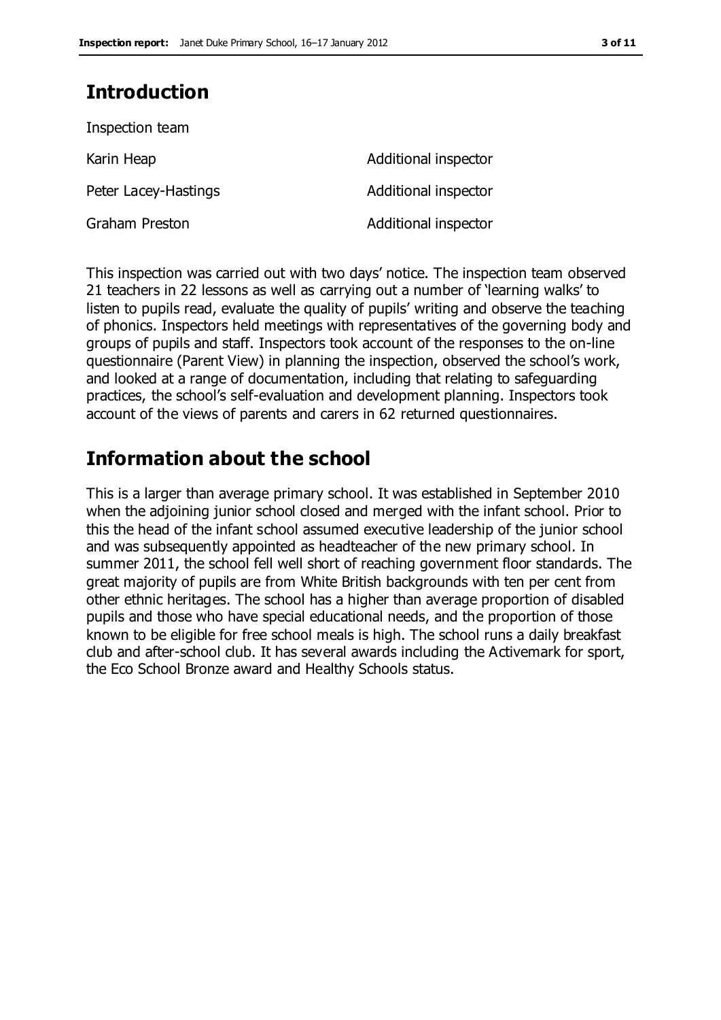# **Introduction**

| Inspection team      |                      |
|----------------------|----------------------|
| Karin Heap           | Additional inspector |
| Peter Lacey-Hastings | Additional inspector |
| Graham Preston       | Additional inspector |

This inspection was carried out with two days' notice. The inspection team observed 21 teachers in 22 lessons as well as carrying out a number of 'learning walks' to listen to pupils read, evaluate the quality of pupils' writing and observe the teaching of phonics. Inspectors held meetings with representatives of the governing body and groups of pupils and staff. Inspectors took account of the responses to the on-line questionnaire (Parent View) in planning the inspection, observed the school's work, and looked at a range of documentation, including that relating to safeguarding practices, the school's self-evaluation and development planning. Inspectors took account of the views of parents and carers in 62 returned questionnaires.

# **Information about the school**

This is a larger than average primary school. It was established in September 2010 when the adjoining junior school closed and merged with the infant school. Prior to this the head of the infant school assumed executive leadership of the junior school and was subsequently appointed as headteacher of the new primary school. In summer 2011, the school fell well short of reaching government floor standards. The great majority of pupils are from White British backgrounds with ten per cent from other ethnic heritages. The school has a higher than average proportion of disabled pupils and those who have special educational needs, and the proportion of those known to be eligible for free school meals is high. The school runs a daily breakfast club and after-school club. It has several awards including the Activemark for sport, the Eco School Bronze award and Healthy Schools status.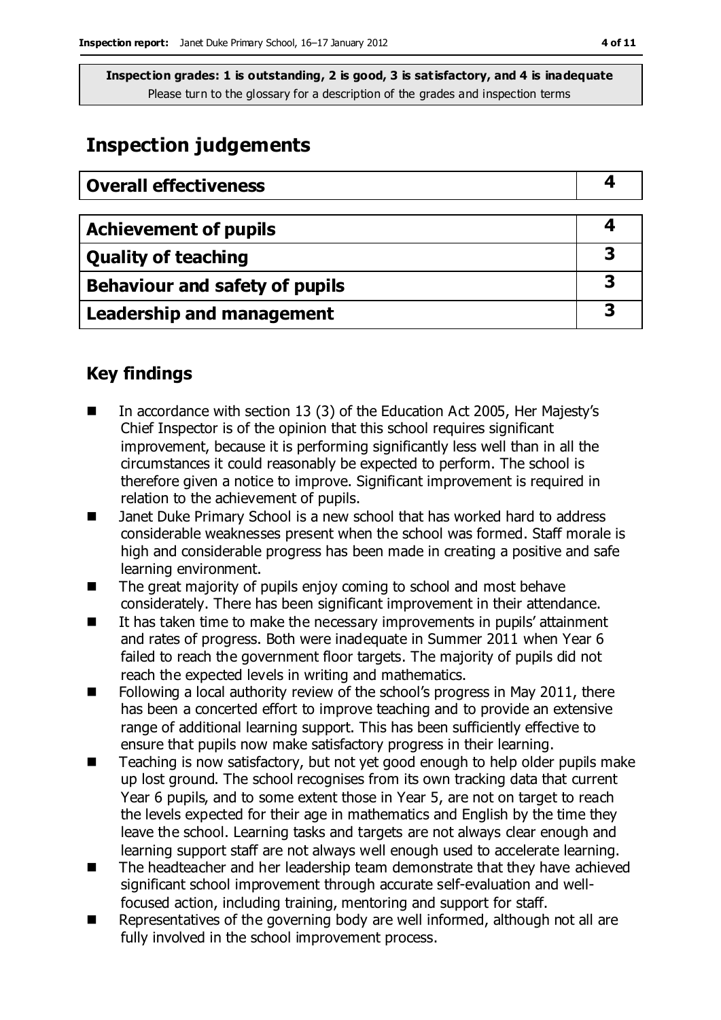# **Inspection judgements**

| <b>Overall effectiveness</b>   |   |
|--------------------------------|---|
|                                |   |
| <b>Achievement of pupils</b>   | 4 |
| <b>Quality of teaching</b>     | 3 |
| Behaviour and safety of pupils | 3 |
| Leadership and management      | З |

# **Key findings**

- In accordance with section 13 (3) of the Education Act 2005, Her Majesty's Chief Inspector is of the opinion that this school requires significant improvement, because it is performing significantly less well than in all the circumstances it could reasonably be expected to perform. The school is therefore given a notice to improve. Significant improvement is required in relation to the achievement of pupils.
- Janet Duke Primary School is a new school that has worked hard to address considerable weaknesses present when the school was formed. Staff morale is high and considerable progress has been made in creating a positive and safe learning environment.
- The great majority of pupils enjoy coming to school and most behave considerately. There has been significant improvement in their attendance.
- It has taken time to make the necessary improvements in pupils' attainment and rates of progress. Both were inadequate in Summer 2011 when Year 6 failed to reach the government floor targets. The majority of pupils did not reach the expected levels in writing and mathematics.
- $\blacksquare$  Following a local authority review of the school's progress in May 2011, there has been a concerted effort to improve teaching and to provide an extensive range of additional learning support. This has been sufficiently effective to ensure that pupils now make satisfactory progress in their learning.
- Teaching is now satisfactory, but not yet good enough to help older pupils make up lost ground. The school recognises from its own tracking data that current Year 6 pupils, and to some extent those in Year 5, are not on target to reach the levels expected for their age in mathematics and English by the time they leave the school. Learning tasks and targets are not always clear enough and learning support staff are not always well enough used to accelerate learning.
- The headteacher and her leadership team demonstrate that they have achieved significant school improvement through accurate self-evaluation and wellfocused action, including training, mentoring and support for staff.
- Representatives of the governing body are well informed, although not all are fully involved in the school improvement process.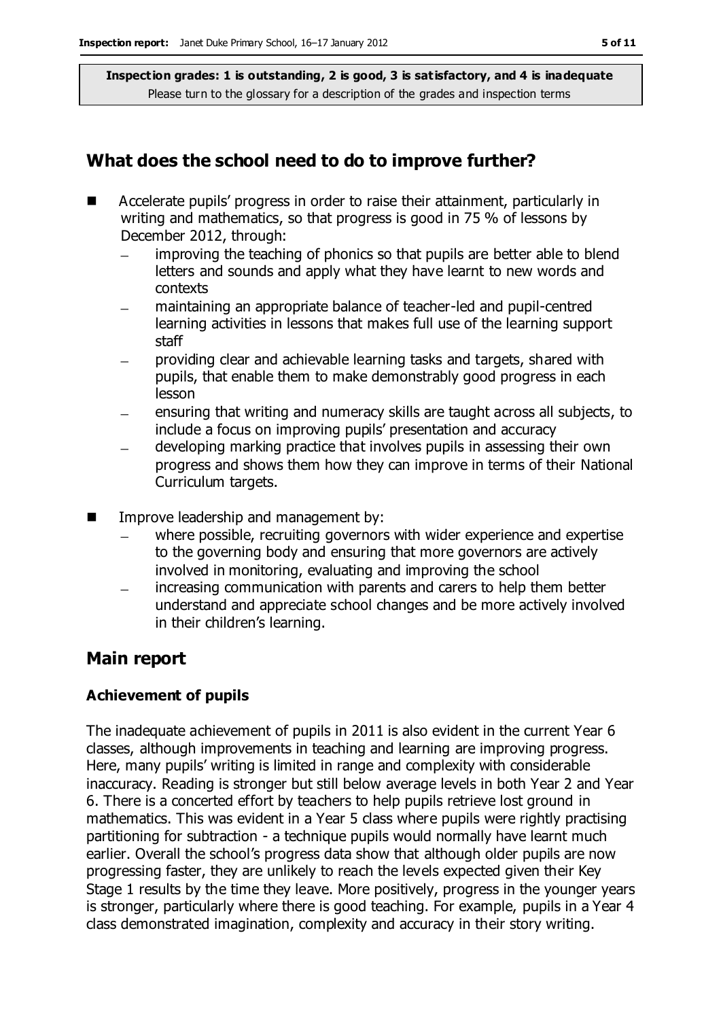# **What does the school need to do to improve further?**

- Accelerate pupils' progress in order to raise their attainment, particularly in writing and mathematics, so that progress is good in 75 % of lessons by December 2012, through:
	- improving the teaching of phonics so that pupils are better able to blend  $\equiv$ letters and sounds and apply what they have learnt to new words and contexts
	- maintaining an appropriate balance of teacher-led and pupil-centred learning activities in lessons that makes full use of the learning support staff
	- providing clear and achievable learning tasks and targets, shared with pupils, that enable them to make demonstrably good progress in each lesson
	- ensuring that writing and numeracy skills are taught across all subjects, to include a focus on improving pupils' presentation and accuracy
	- developing marking practice that involves pupils in assessing their own progress and shows them how they can improve in terms of their National Curriculum targets.
- **IMPROVE LEADER FROM MANAGEMENT MANAGEMENT INC.** Improve leadership and management by:
	- where possible, recruiting governors with wider experience and expertise to the governing body and ensuring that more governors are actively involved in monitoring, evaluating and improving the school
	- increasing communication with parents and carers to help them better understand and appreciate school changes and be more actively involved in their children's learning.

# **Main report**

### **Achievement of pupils**

The inadequate achievement of pupils in 2011 is also evident in the current Year 6 classes, although improvements in teaching and learning are improving progress. Here, many pupils' writing is limited in range and complexity with considerable inaccuracy. Reading is stronger but still below average levels in both Year 2 and Year 6. There is a concerted effort by teachers to help pupils retrieve lost ground in mathematics. This was evident in a Year 5 class where pupils were rightly practising partitioning for subtraction - a technique pupils would normally have learnt much earlier. Overall the school's progress data show that although older pupils are now progressing faster, they are unlikely to reach the levels expected given their Key Stage 1 results by the time they leave. More positively, progress in the younger years is stronger, particularly where there is good teaching. For example, pupils in a Year 4 class demonstrated imagination, complexity and accuracy in their story writing.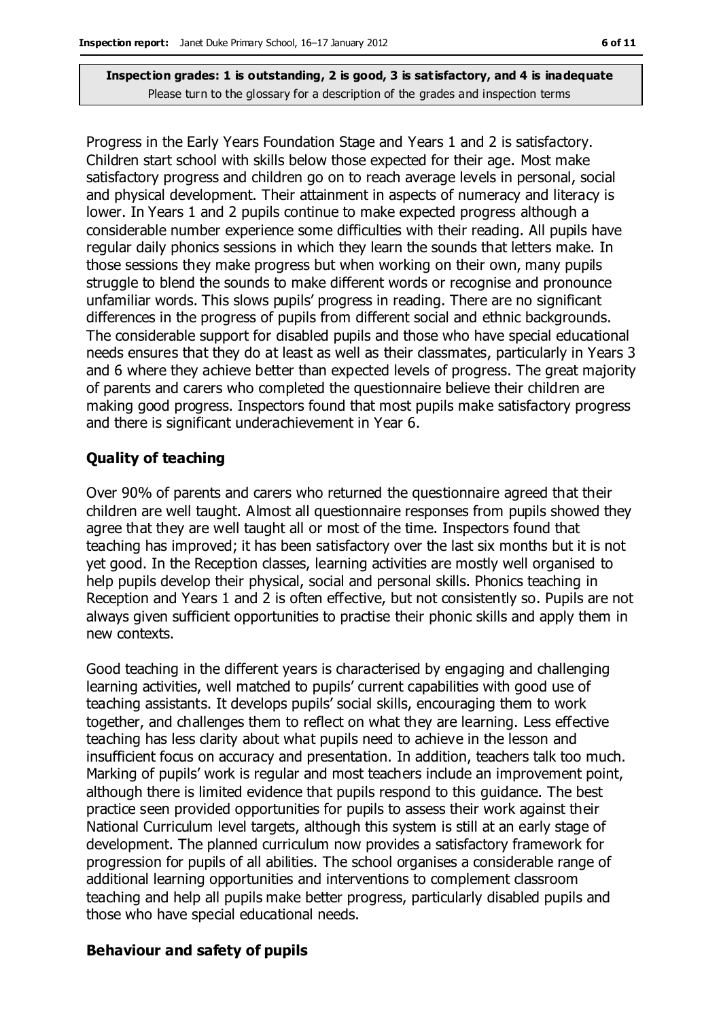Progress in the Early Years Foundation Stage and Years 1 and 2 is satisfactory. Children start school with skills below those expected for their age. Most make satisfactory progress and children go on to reach average levels in personal, social and physical development. Their attainment in aspects of numeracy and literacy is lower. In Years 1 and 2 pupils continue to make expected progress although a considerable number experience some difficulties with their reading. All pupils have regular daily phonics sessions in which they learn the sounds that letters make. In those sessions they make progress but when working on their own, many pupils struggle to blend the sounds to make different words or recognise and pronounce unfamiliar words. This slows pupils' progress in reading. There are no significant differences in the progress of pupils from different social and ethnic backgrounds. The considerable support for disabled pupils and those who have special educational needs ensures that they do at least as well as their classmates, particularly in Years 3 and 6 where they achieve better than expected levels of progress. The great majority of parents and carers who completed the questionnaire believe their children are making good progress. Inspectors found that most pupils make satisfactory progress and there is significant underachievement in Year 6.

#### **Quality of teaching**

Over 90% of parents and carers who returned the questionnaire agreed that their children are well taught. Almost all questionnaire responses from pupils showed they agree that they are well taught all or most of the time. Inspectors found that teaching has improved; it has been satisfactory over the last six months but it is not yet good. In the Reception classes, learning activities are mostly well organised to help pupils develop their physical, social and personal skills. Phonics teaching in Reception and Years 1 and 2 is often effective, but not consistently so. Pupils are not always given sufficient opportunities to practise their phonic skills and apply them in new contexts.

Good teaching in the different years is characterised by engaging and challenging learning activities, well matched to pupils' current capabilities with good use of teaching assistants. It develops pupils' social skills, encouraging them to work together, and challenges them to reflect on what they are learning. Less effective teaching has less clarity about what pupils need to achieve in the lesson and insufficient focus on accuracy and presentation. In addition, teachers talk too much. Marking of pupils' work is regular and most teachers include an improvement point, although there is limited evidence that pupils respond to this guidance. The best practice seen provided opportunities for pupils to assess their work against their National Curriculum level targets, although this system is still at an early stage of development. The planned curriculum now provides a satisfactory framework for progression for pupils of all abilities. The school organises a considerable range of additional learning opportunities and interventions to complement classroom teaching and help all pupils make better progress, particularly disabled pupils and those who have special educational needs.

#### **Behaviour and safety of pupils**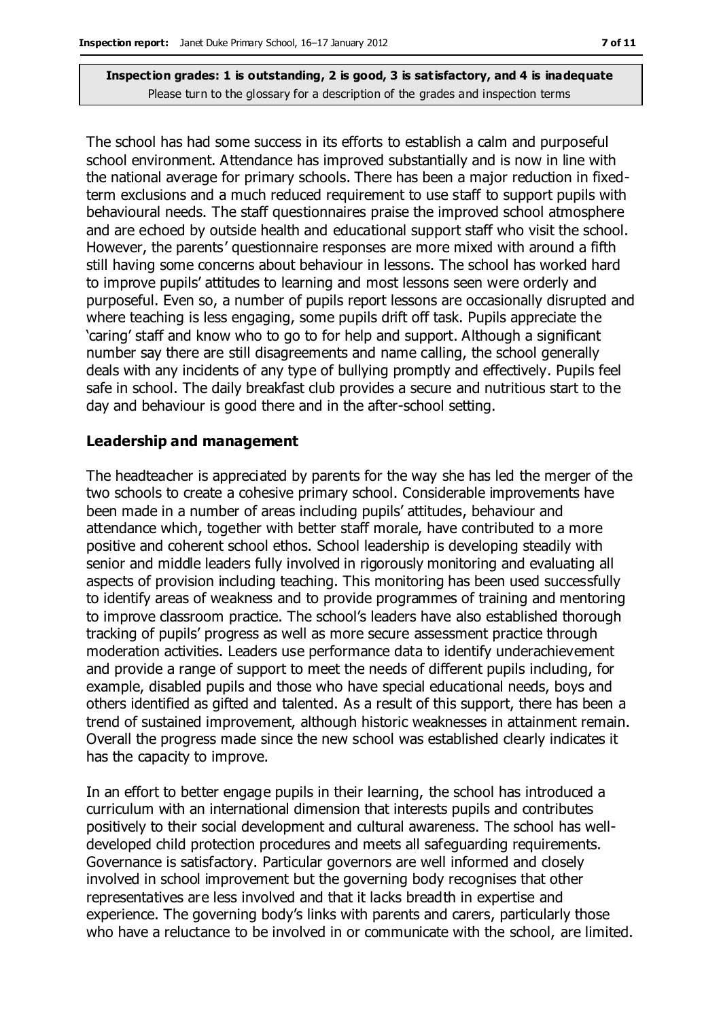The school has had some success in its efforts to establish a calm and purposeful school environment. Attendance has improved substantially and is now in line with the national average for primary schools. There has been a major reduction in fixedterm exclusions and a much reduced requirement to use staff to support pupils with behavioural needs. The staff questionnaires praise the improved school atmosphere and are echoed by outside health and educational support staff who visit the school. However, the parents' questionnaire responses are more mixed with around a fifth still having some concerns about behaviour in lessons. The school has worked hard to improve pupils' attitudes to learning and most lessons seen were orderly and purposeful. Even so, a number of pupils report lessons are occasionally disrupted and where teaching is less engaging, some pupils drift off task. Pupils appreciate the 'caring' staff and know who to go to for help and support. Although a significant number say there are still disagreements and name calling, the school generally deals with any incidents of any type of bullying promptly and effectively. Pupils feel safe in school. The daily breakfast club provides a secure and nutritious start to the day and behaviour is good there and in the after-school setting.

#### **Leadership and management**

The headteacher is appreciated by parents for the way she has led the merger of the two schools to create a cohesive primary school. Considerable improvements have been made in a number of areas including pupils' attitudes, behaviour and attendance which, together with better staff morale, have contributed to a more positive and coherent school ethos. School leadership is developing steadily with senior and middle leaders fully involved in rigorously monitoring and evaluating all aspects of provision including teaching. This monitoring has been used successfully to identify areas of weakness and to provide programmes of training and mentoring to improve classroom practice. The school's leaders have also established thorough tracking of pupils' progress as well as more secure assessment practice through moderation activities. Leaders use performance data to identify underachievement and provide a range of support to meet the needs of different pupils including, for example, disabled pupils and those who have special educational needs, boys and others identified as gifted and talented. As a result of this support, there has been a trend of sustained improvement, although historic weaknesses in attainment remain. Overall the progress made since the new school was established clearly indicates it has the capacity to improve.

In an effort to better engage pupils in their learning, the school has introduced a curriculum with an international dimension that interests pupils and contributes positively to their social development and cultural awareness. The school has welldeveloped child protection procedures and meets all safeguarding requirements. Governance is satisfactory. Particular governors are well informed and closely involved in school improvement but the governing body recognises that other representatives are less involved and that it lacks breadth in expertise and experience. The governing body's links with parents and carers, particularly those who have a reluctance to be involved in or communicate with the school, are limited.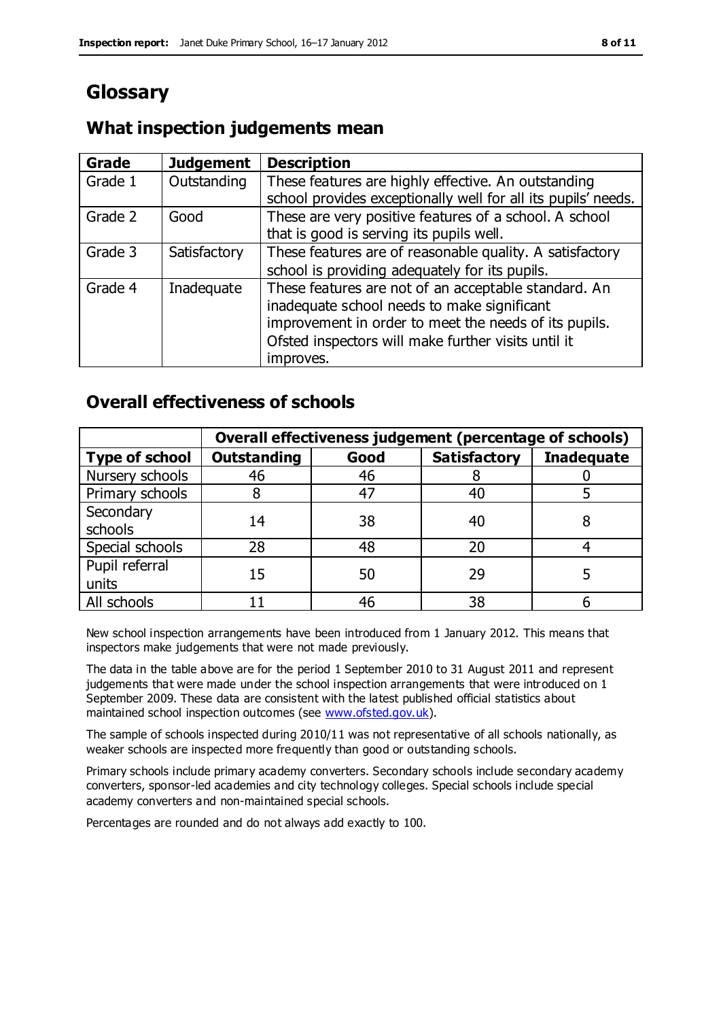# **Glossary**

## **What inspection judgements mean**

| Grade   | <b>Judgement</b> | <b>Description</b>                                            |
|---------|------------------|---------------------------------------------------------------|
| Grade 1 | Outstanding      | These features are highly effective. An outstanding           |
|         |                  | school provides exceptionally well for all its pupils' needs. |
| Grade 2 | Good             | These are very positive features of a school. A school        |
|         |                  | that is good is serving its pupils well.                      |
| Grade 3 | Satisfactory     | These features are of reasonable quality. A satisfactory      |
|         |                  | school is providing adequately for its pupils.                |
| Grade 4 | Inadequate       | These features are not of an acceptable standard. An          |
|         |                  | inadequate school needs to make significant                   |
|         |                  | improvement in order to meet the needs of its pupils.         |
|         |                  | Ofsted inspectors will make further visits until it           |
|         |                  | improves.                                                     |

# **Overall effectiveness of schools**

|                         | Overall effectiveness judgement (percentage of schools) |      |                     |                   |
|-------------------------|---------------------------------------------------------|------|---------------------|-------------------|
| <b>Type of school</b>   | <b>Outstanding</b>                                      | Good | <b>Satisfactory</b> | <b>Inadequate</b> |
| Nursery schools         | 46                                                      | 46   |                     |                   |
| Primary schools         |                                                         | 47   | 40                  |                   |
| Secondary<br>schools    | 14                                                      | 38   | 40                  |                   |
| Special schools         | 28                                                      | 48   | 20                  |                   |
| Pupil referral<br>units | 15                                                      | 50   | 29                  |                   |
| All schools             |                                                         | 46   | 38                  |                   |

New school inspection arrangements have been introduced from 1 January 2012. This means that inspectors make judgements that were not made previously.

The data in the table above are for the period 1 September 2010 to 31 August 2011 and represent judgements that were made under the school inspection arrangements that were introduced on 1 September 2009. These data are consistent with the latest published official statistics about maintained school inspection outcomes (see [www.ofsted.gov.uk\)](http://www.ofsted.gov.uk/).

The sample of schools inspected during 2010/11 was not representative of all schools nationally, as weaker schools are inspected more frequently than good or outstanding schools.

Primary schools include primary academy converters. Secondary schools include secondary academy converters, sponsor-led academies and city technology colleges. Special schools include special academy converters and non-maintained special schools.

Percentages are rounded and do not always add exactly to 100.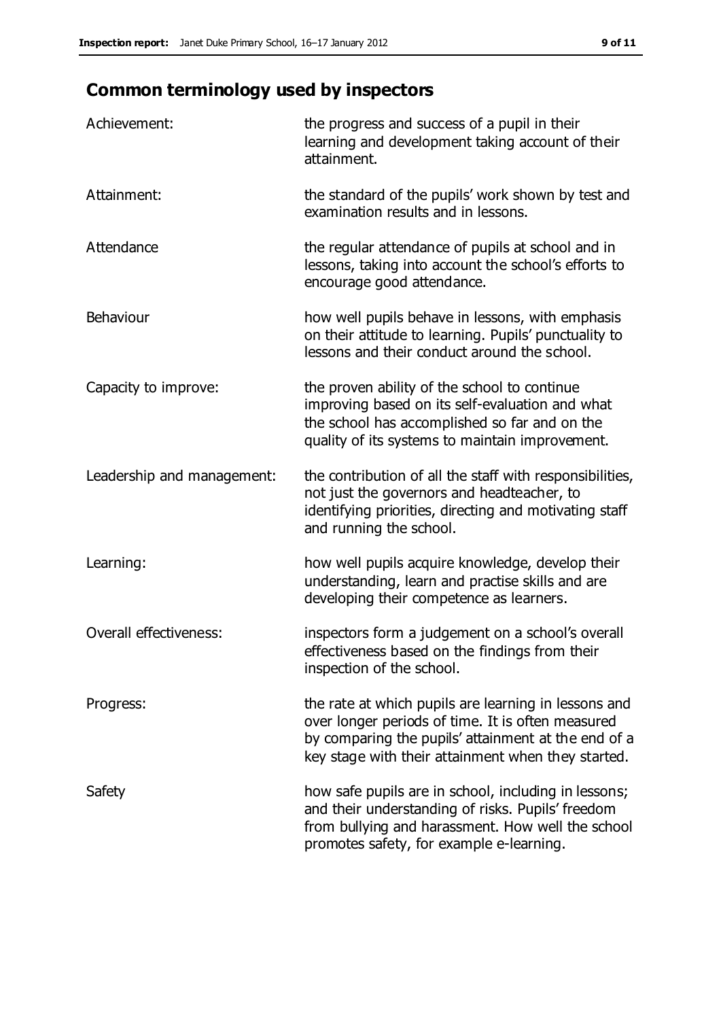# **Common terminology used by inspectors**

| Achievement:               | the progress and success of a pupil in their<br>learning and development taking account of their<br>attainment.                                                                                                        |
|----------------------------|------------------------------------------------------------------------------------------------------------------------------------------------------------------------------------------------------------------------|
| Attainment:                | the standard of the pupils' work shown by test and<br>examination results and in lessons.                                                                                                                              |
| Attendance                 | the regular attendance of pupils at school and in<br>lessons, taking into account the school's efforts to<br>encourage good attendance.                                                                                |
| Behaviour                  | how well pupils behave in lessons, with emphasis<br>on their attitude to learning. Pupils' punctuality to<br>lessons and their conduct around the school.                                                              |
| Capacity to improve:       | the proven ability of the school to continue<br>improving based on its self-evaluation and what<br>the school has accomplished so far and on the<br>quality of its systems to maintain improvement.                    |
| Leadership and management: | the contribution of all the staff with responsibilities,<br>not just the governors and headteacher, to<br>identifying priorities, directing and motivating staff<br>and running the school.                            |
| Learning:                  | how well pupils acquire knowledge, develop their<br>understanding, learn and practise skills and are<br>developing their competence as learners.                                                                       |
| Overall effectiveness:     | inspectors form a judgement on a school's overall<br>effectiveness based on the findings from their<br>inspection of the school.                                                                                       |
| Progress:                  | the rate at which pupils are learning in lessons and<br>over longer periods of time. It is often measured<br>by comparing the pupils' attainment at the end of a<br>key stage with their attainment when they started. |
| Safety                     | how safe pupils are in school, including in lessons;<br>and their understanding of risks. Pupils' freedom<br>from bullying and harassment. How well the school<br>promotes safety, for example e-learning.             |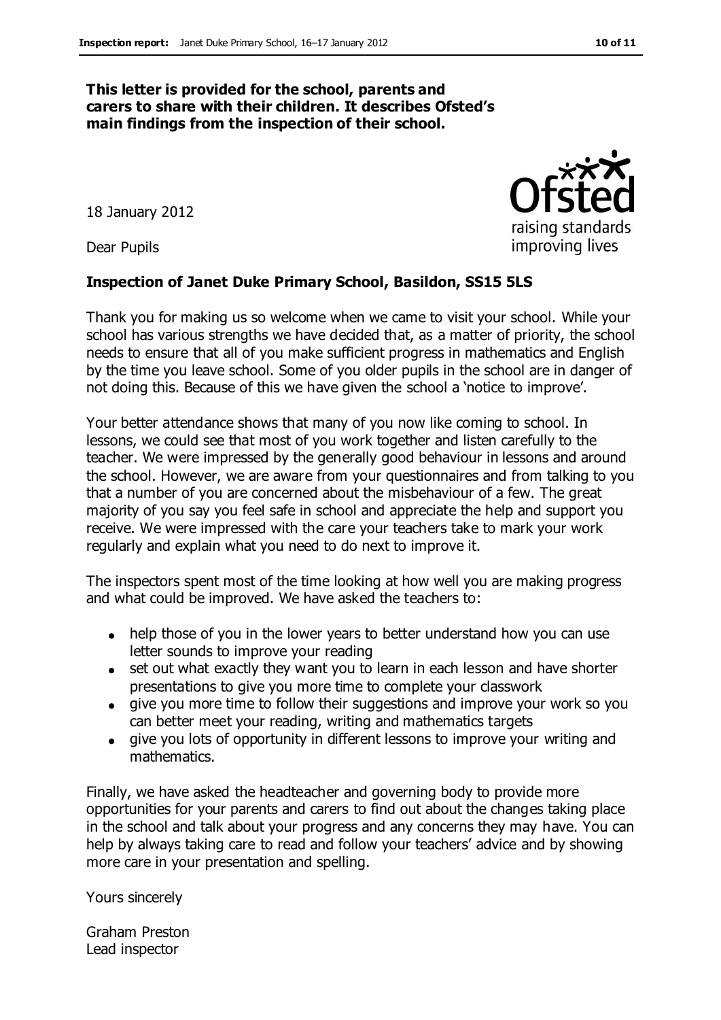#### **This letter is provided for the school, parents and carers to share with their children. It describes Ofsted's main findings from the inspection of their school.**

18 January 2012

Dear Pupils

#### **Inspection of Janet Duke Primary School, Basildon, SS15 5LS**

Thank you for making us so welcome when we came to visit your school. While your school has various strengths we have decided that, as a matter of priority, the school needs to ensure that all of you make sufficient progress in mathematics and English by the time you leave school. Some of you older pupils in the school are in danger of not doing this. Because of this we have given the school a 'notice to improve'.

Your better attendance shows that many of you now like coming to school. In lessons, we could see that most of you work together and listen carefully to the teacher. We were impressed by the generally good behaviour in lessons and around the school. However, we are aware from your questionnaires and from talking to you that a number of you are concerned about the misbehaviour of a few. The great majority of you say you feel safe in school and appreciate the help and support you receive. We were impressed with the care your teachers take to mark your work regularly and explain what you need to do next to improve it.

The inspectors spent most of the time looking at how well you are making progress and what could be improved. We have asked the teachers to:

- help those of you in the lower years to better understand how you can use letter sounds to improve your reading
- set out what exactly they want you to learn in each lesson and have shorter presentations to give you more time to complete your classwork
- give you more time to follow their suggestions and improve your work so you can better meet your reading, writing and mathematics targets
- give you lots of opportunity in different lessons to improve your writing and mathematics.

Finally, we have asked the headteacher and governing body to provide more opportunities for your parents and carers to find out about the changes taking place in the school and talk about your progress and any concerns they may have. You can help by always taking care to read and follow your teachers' advice and by showing more care in your presentation and spelling.

Yours sincerely

Graham Preston Lead inspector